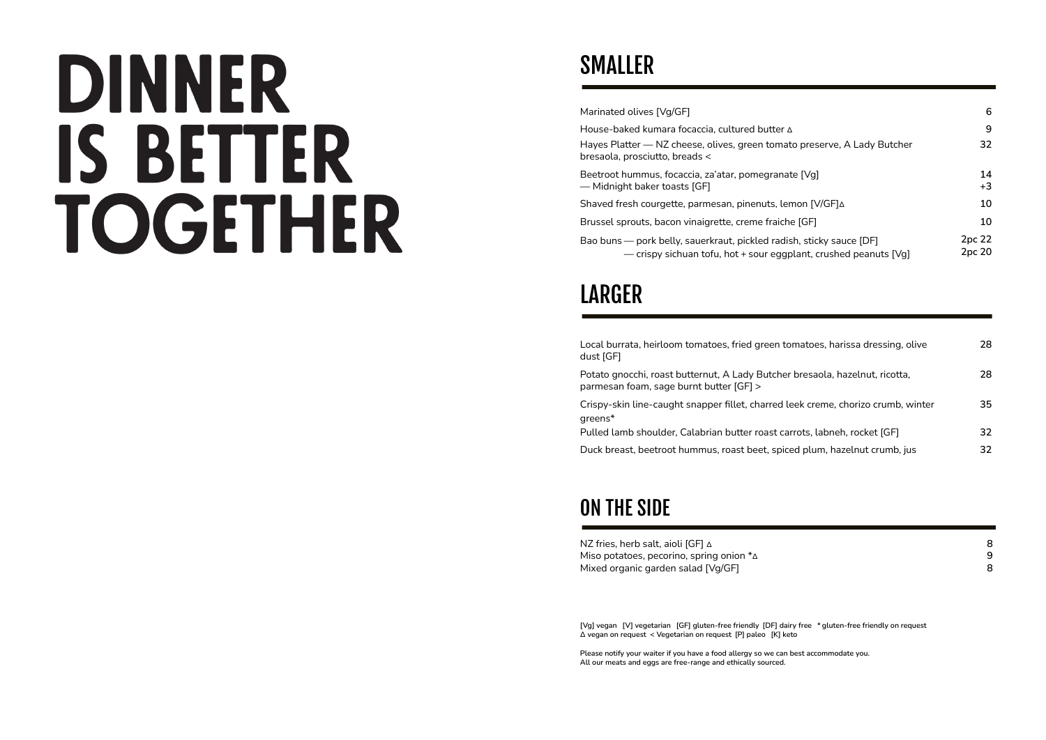# **DINNER IS BETTER TOGETHER**

# SMALLER

| Marinated olives [Vq/GF]                                                                                                                 | 6                |
|------------------------------------------------------------------------------------------------------------------------------------------|------------------|
| House-baked kumara focaccia, cultured butter A                                                                                           | 9                |
| Hayes Platter — NZ cheese, olives, green tomato preserve, A Lady Butcher<br>bresaola, prosciutto, breads <                               | 32               |
| Beetroot hummus, focaccia, za'atar, pomegranate [Vg]<br>- Midnight baker toasts [GF]                                                     | 14<br>$+3$       |
| Shaved fresh courgette, parmesan, pinenuts, lemon [V/GF] $\Delta$                                                                        | 10               |
| Brussel sprouts, bacon vinaigrette, creme fraiche [GF]                                                                                   | 10               |
| Bao buns — pork belly, sauerkraut, pickled radish, sticky sauce [DF]<br>- crispy sichuan tofu, hot + sour eggplant, crushed peanuts [Vg] | 2pc 22<br>2pc 20 |

## LARGER

| Local burrata, heirloom tomatoes, fried green tomatoes, harissa dressing, olive<br>dust [GF]                            | 28  |
|-------------------------------------------------------------------------------------------------------------------------|-----|
| Potato gnocchi, roast butternut, A Lady Butcher bresaola, hazelnut, ricotta,<br>parmesan foam, sage burnt butter [GF] > | 28  |
| Crispy-skin line-caught snapper fillet, charred leek creme, chorizo crumb, winter<br>areens <sup>*</sup>                | 35. |
| Pulled lamb shoulder, Calabrian butter roast carrots, labneh, rocket [GF]                                               | 32. |
| Duck breast, beetroot hummus, roast beet, spiced plum, hazelnut crumb, jus                                              | 32. |

## ON THE SIDE

| NZ fries, herb salt, aioli [GF] ∆                  |  |  |
|----------------------------------------------------|--|--|
| Miso potatoes, pecorino, spring onion $*_{\Delta}$ |  |  |
| Mixed organic garden salad [Vg/GF]                 |  |  |

**[Vg] vegan [V] vegetarian [GF] gluten-free friendly [DF] dairy free \* gluten-free friendly on request Δ vegan on request < Vegetarian on request [P] paleo [K] keto**

**Please notify your waiter if you have a food allergy so we can best accommodate you. All our meats and eggs are free-range and ethically sourced.**